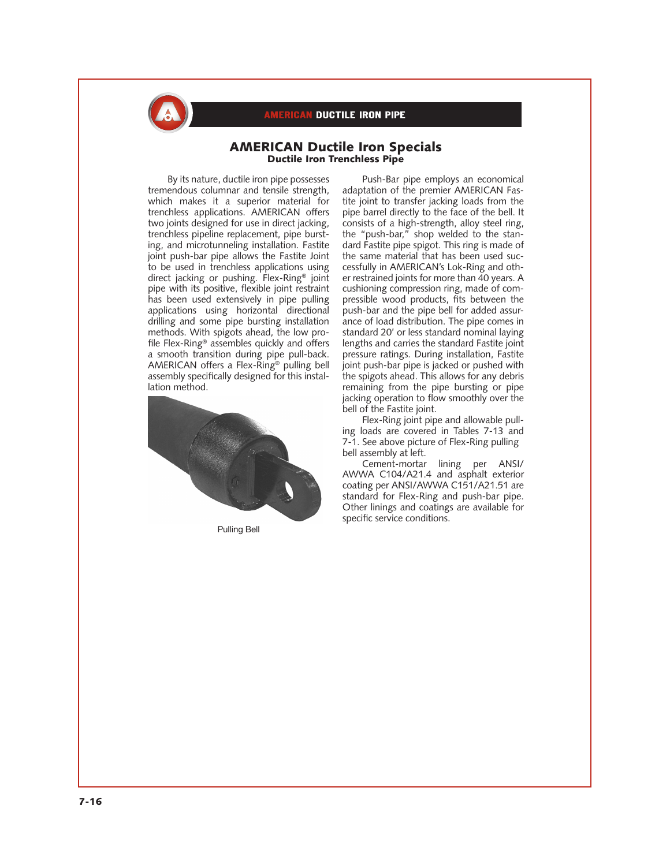

## **ERICAN DUCTILE IRON PIPE**

### AMERICAN Ductile Iron Specials Ductile Iron Trenchless Pipe

By its nature, ductile iron pipe possesses tremendous columnar and tensile strength, which makes it a superior material for trenchless applications. AMERICAN offers two joints designed for use in direct jacking, trenchless pipeline replacement, pipe bursting, and microtunneling installation. Fastite joint push-bar pipe allows the Fastite Joint to be used in trenchless applications using direct jacking or pushing. Flex-Ring® joint pipe with its positive, flexible joint restraint has been used extensively in pipe pulling applications using horizontal directional drilling and some pipe bursting installation methods. With spigots ahead, the low profile Flex-Ring® assembles quickly and offers a smooth transition during pipe pull-back. AMERICAN offers a Flex-Ring® pulling bell assembly specifically designed for this installation method.



Pulling Bell

Push-Bar pipe employs an economical adaptation of the premier AMERICAN Fastite joint to transfer jacking loads from the pipe barrel directly to the face of the bell. It consists of a high-strength, alloy steel ring, the "push-bar," shop welded to the standard Fastite pipe spigot. This ring is made of the same material that has been used successfully in AMERICAN's Lok-Ring and other restrained joints for more than 40 years. A cushioning compression ring, made of compressible wood products, fits between the push-bar and the pipe bell for added assurance of load distribution. The pipe comes in standard 20' or less standard nominal laying lengths and carries the standard Fastite joint pressure ratings. During installation, Fastite joint push-bar pipe is jacked or pushed with the spigots ahead. This allows for any debris remaining from the pipe bursting or pipe jacking operation to flow smoothly over the bell of the Fastite joint.

Flex-Ring joint pipe and allowable pulling loads are covered in Tables 7-13 and 7-1. See above picture of Flex-Ring pulling bell assembly at left.

Cement-mortar lining per ANSI/ AWWA C104/A21.4 and asphalt exterior coating per ANSI/AWWA C151/A21.51 are standard for Flex-Ring and push-bar pipe. Other linings and coatings are available for specific service conditions.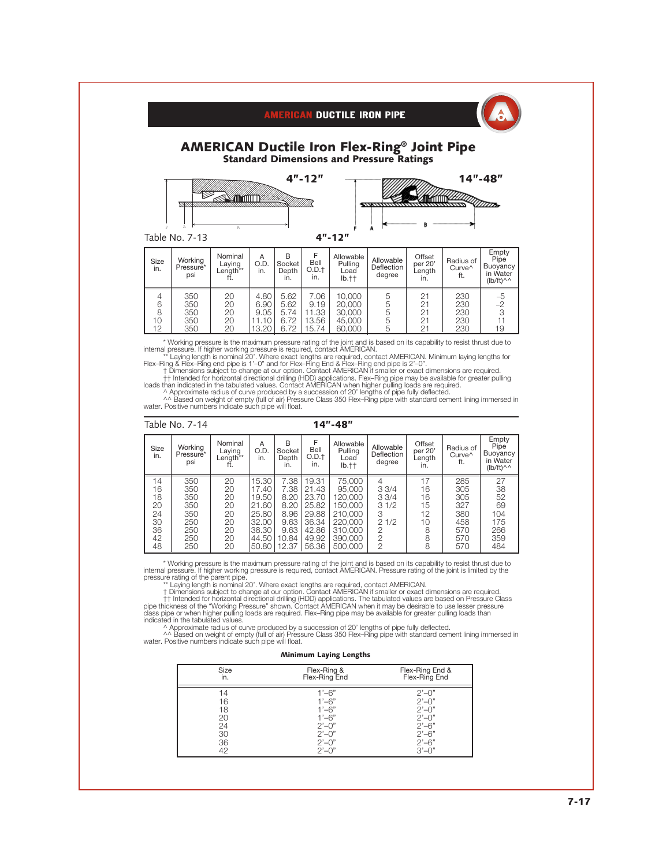| <b>AMERICAN Ductile Iron Flex-Ring® Joint Pipe</b><br><b>Standard Dimensions and Pressure Ratings</b> |                                      |                                           |                      |                                        |                           |                                       |                                   |                                    |                                        |                                                                   |
|-------------------------------------------------------------------------------------------------------|--------------------------------------|-------------------------------------------|----------------------|----------------------------------------|---------------------------|---------------------------------------|-----------------------------------|------------------------------------|----------------------------------------|-------------------------------------------------------------------|
|                                                                                                       | <u>vscons</u><br>A<br>Table No. 7-13 | R                                         |                      |                                        | $4" - 12"$                | $4" - 12"$                            | ,,,,,,,,,                         |                                    |                                        | $14" - 48"$                                                       |
| Size<br>in.                                                                                           | Working<br>Pressure*<br>psi          | Nominal<br>Laying<br>Length <sup>**</sup> | A<br>O.D.<br>in.     | <sub>R</sub><br>Socket<br>Depth<br>in. | F<br>Bell<br>O.D.f<br>in. | Allowable<br>Pulling<br>Load<br>lb.†† | Allowable<br>Deflection<br>degree | Offset<br>per 20'<br>Length<br>in. | Radius of<br>Curve <sup>^</sup><br>ft. | Empty<br>Pipe<br>Buoyancy<br>in Water<br>$(Ib/ft)^{\wedge\wedge}$ |
| 4<br>6<br>8                                                                                           | 350<br>350<br>350                    | 20<br>20<br>20                            | 4.80<br>6.90<br>9.05 | 5.62<br>5.62<br>5.74                   | 7.06<br>9.19<br>11.33     | 10,000<br>20,000<br>30,000            | 5<br>5<br>5                       | 21<br>21<br>21                     | 230<br>230<br>230                      | $\frac{-5}{-2}$<br>3                                              |

**AMERICAN DUCTILE IRON PIPE** 

10 350 20 11.10 6.72 13.56 45,000 5 21 230 11 12 350 20 13.20 6.72 15.74 60,000 5 21 230 19

\* Working pressure is the maximum pressure rating of the joint and is based on its capability to resist thrust due to<br>internal pressure. It higher working pressure is required, contact AMERICAN. Minimum laying lengths for<br>

|                                                    | Table No. 7-14                                              | $14" - 48"$                                        |                                                                               |                                                                        |                                                                               |                                                                                               |                                                                                              |                                                 |                                                             |                                                                   |
|----------------------------------------------------|-------------------------------------------------------------|----------------------------------------------------|-------------------------------------------------------------------------------|------------------------------------------------------------------------|-------------------------------------------------------------------------------|-----------------------------------------------------------------------------------------------|----------------------------------------------------------------------------------------------|-------------------------------------------------|-------------------------------------------------------------|-------------------------------------------------------------------|
| Size<br>in.                                        | Working<br>Pressure*<br>psi                                 | Nominal<br>Laying<br>Length**                      | A<br>O.D.<br>in.                                                              | B<br>Socket<br>Depth<br>in.                                            | F<br>Bell<br>O.D.t<br>in.                                                     | Allowable<br>Pullina<br>Load<br>Ib.t                                                          | Allowable<br>Deflection<br>degree                                                            | Offset<br>per 20'<br>Length<br>in.              | Radius of<br>Curve <sup>^</sup><br>ft.                      | Empty<br>Pipe<br>Buoyancy<br>in Water<br>$(lb/ft)^{\wedge\wedge}$ |
| 14<br>16<br>18<br>20<br>24<br>30<br>36<br>42<br>48 | 350<br>350<br>350<br>350<br>350<br>250<br>250<br>250<br>250 | 20<br>20<br>20<br>20<br>20<br>20<br>20<br>20<br>20 | 15.30<br>17.40<br>19.50<br>21.60<br>25.80<br>32.00<br>38.30<br>44.50<br>50.80 | 7.38<br>7.38<br>8.20<br>8.20<br>8.96<br>9.63<br>9.63<br>10.84<br>12.37 | 19.31<br>21.43<br>23.70<br>25.82<br>29.88<br>36.34<br>42.86<br>49.92<br>56.36 | 75,000<br>95,000<br>120.000<br>150,000<br>210,000<br>220,000<br>310,000<br>390,000<br>500,000 | 4<br>33/4<br>33/4<br>31/2<br>3<br>21/2<br>$\overline{2}$<br>$\overline{2}$<br>$\overline{2}$ | 17<br>16<br>16<br>15<br>12<br>10<br>8<br>8<br>8 | 285<br>305<br>305<br>327<br>380<br>458<br>570<br>570<br>570 | 27<br>38<br>52<br>69<br>104<br>175<br>266<br>359<br>484           |

\* Working pressure is the maximum pressure rating of the joint and is based on its capability to resist thrust due to<br>internal pressure is frighter working pressure is required, contact AMERICAN. Pressure rating of the joi

#### Minimum Laying Lengths

| Size<br>in. | Flex-Ring &<br>Flex-Ring End  | Flex-Ring End &<br>Flex-Ring End |
|-------------|-------------------------------|----------------------------------|
| 14          | $1'-6"$                       | $2^{\prime}$ -0"                 |
| 16          | $1' - 6''$                    | $2^{\prime}-0^{\prime\prime}$    |
| 18          | $-6"$                         | $2^{\prime}$ -0"                 |
| 20          | $^{1}-6"$                     | $2^{\prime}$ -0"                 |
| 24          | $2^{\prime}-0^{\prime\prime}$ | $2' - 6''$                       |
| 30          | $2^{\prime}$ -0"              | $2'-6''$                         |
| 36          | $2'$ – $0"$                   | $2' - 6''$                       |
| 42          |                               | $3' - 0'$                        |